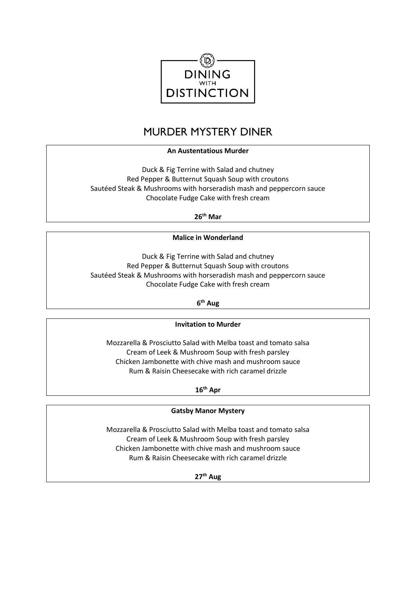

# MURDER MYSTERY DINER

## **An Austentatious Murder**

Duck & Fig Terrine with Salad and chutney Red Pepper & Butternut Squash Soup with croutons Sautéed Steak & Mushrooms with horseradish mash and peppercorn sauce Chocolate Fudge Cake with fresh cream

**26 th Mar**

**Malice in Wonderland**

Duck & Fig Terrine with Salad and chutney Red Pepper & Butternut Squash Soup with croutons Sautéed Steak & Mushrooms with horseradish mash and peppercorn sauce Chocolate Fudge Cake with fresh cream

**6 th Aug**

## **Invitation to Murder**

Mozzarella & Prosciutto Salad with Melba toast and tomato salsa Cream of Leek & Mushroom Soup with fresh parsley Chicken Jambonette with chive mash and mushroom sauce Rum & Raisin Cheesecake with rich caramel drizzle

**16th Apr**

## **Gatsby Manor Mystery**

Mozzarella & Prosciutto Salad with Melba toast and tomato salsa Cream of Leek & Mushroom Soup with fresh parsley Chicken Jambonette with chive mash and mushroom sauce Rum & Raisin Cheesecake with rich caramel drizzle

**27th Aug**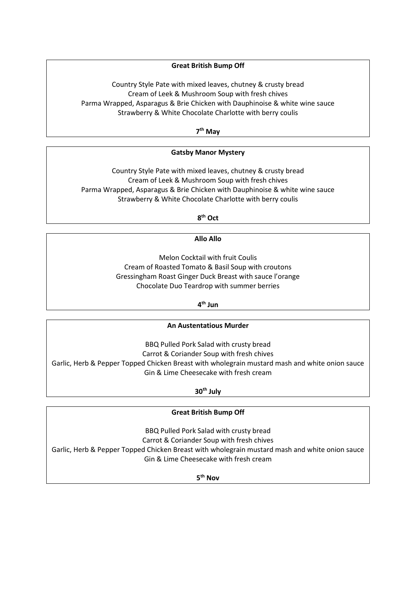## **Great British Bump Off**

Country Style Pate with mixed leaves, chutney & crusty bread Cream of Leek & Mushroom Soup with fresh chives Parma Wrapped, Asparagus & Brie Chicken with Dauphinoise & white wine sauce Strawberry & White Chocolate Charlotte with berry coulis

**7 th May**

## **Gatsby Manor Mystery**

Country Style Pate with mixed leaves, chutney & crusty bread Cream of Leek & Mushroom Soup with fresh chives Parma Wrapped, Asparagus & Brie Chicken with Dauphinoise & white wine sauce Strawberry & White Chocolate Charlotte with berry coulis

**8 th Oct**

## **Allo Allo**

Melon Cocktail with fruit Coulis Cream of Roasted Tomato & Basil Soup with croutons Gressingham Roast Ginger Duck Breast with sauce l'orange Chocolate Duo Teardrop with summer berries

**4 th Jun**

#### **An Austentatious Murder**

BBQ Pulled Pork Salad with crusty bread

Carrot & Coriander Soup with fresh chives

Garlic, Herb & Pepper Topped Chicken Breast with wholegrain mustard mash and white onion sauce Gin & Lime Cheesecake with fresh cream

**30th July**

#### **Great British Bump Off**

BBQ Pulled Pork Salad with crusty bread Carrot & Coriander Soup with fresh chives Garlic, Herb & Pepper Topped Chicken Breast with wholegrain mustard mash and white onion sauce Gin & Lime Cheesecake with fresh cream

**5 th Nov**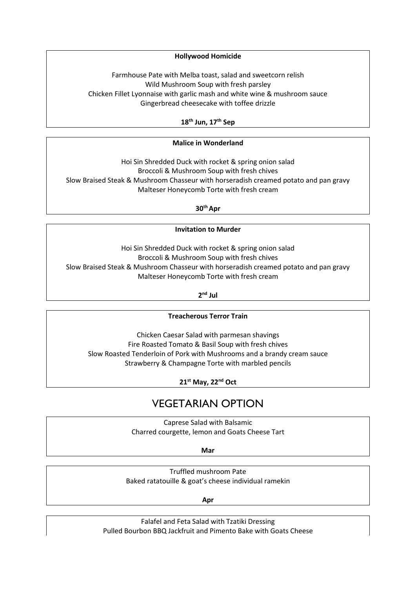#### **Hollywood Homicide**

Farmhouse Pate with Melba toast, salad and sweetcorn relish Wild Mushroom Soup with fresh parsley Chicken Fillet Lyonnaise with garlic mash and white wine & mushroom sauce Gingerbread cheesecake with toffee drizzle

**18th Jun, 17th Sep**

## **Malice in Wonderland**

Hoi Sin Shredded Duck with rocket & spring onion salad Broccoli & Mushroom Soup with fresh chives Slow Braised Steak & Mushroom Chasseur with horseradish creamed potato and pan gravy Malteser Honeycomb Torte with fresh cream

**30 th Apr**

#### **Invitation to Murder**

Hoi Sin Shredded Duck with rocket & spring onion salad Broccoli & Mushroom Soup with fresh chives Slow Braised Steak & Mushroom Chasseur with horseradish creamed potato and pan gravy Malteser Honeycomb Torte with fresh cream

**2 nd Jul**

#### **Treacherous Terror Train**

Chicken Caesar Salad with parmesan shavings Fire Roasted Tomato & Basil Soup with fresh chives Slow Roasted Tenderloin of Pork with Mushrooms and a brandy cream sauce Strawberry & Champagne Torte with marbled pencils

**21st May, 22nd Oct**

## VEGETARIAN OPTION

Caprese Salad with Balsamic Charred courgette, lemon and Goats Cheese Tart

**Mar**

Truffled mushroom Pate Baked ratatouille & goat's cheese individual ramekin

**Apr**

Falafel and Feta Salad with Tzatiki Dressing Pulled Bourbon BBQ Jackfruit and Pimento Bake with Goats Cheese